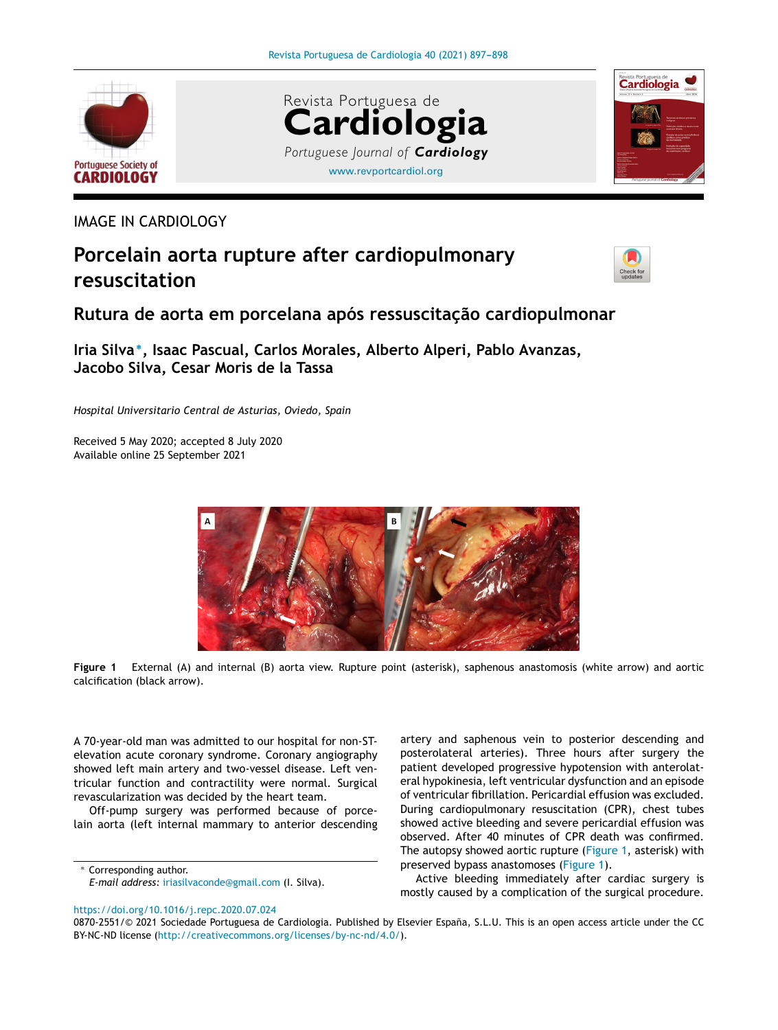<span id="page-0-0"></span>





IMAGE IN CARDIOLOGY

## **Porcelain aorta rupture after cardiopulmonary resuscitation**



## **Rutura de aorta em porcelana após ressuscitac¸ão cardiopulmonar**

**Iria Silva** <sup>∗</sup> **, Isaac Pascual, Carlos Morales, Alberto Alperi, Pablo Avanzas, Jacobo Silva, Cesar Moris de la Tassa**

*Hospital Universitario Central de Asturias, Oviedo, Spain*

Received 5 May 2020; accepted 8 July 2020 Available online 25 September 2021





A 70-year-old man was admitted to our hospital for non-STelevation acute coronary syndrome. Coronary angiography showed left main artery and two-vessel disease. Left ventricular function and contractility were normal. Surgical revascularization was decided by the heart team.

Off-pump surgery was performed because of porcelain aorta (left internal mammary to anterior descending

Corresponding author. *E-mail address:* [iriasilvaconde@gmail.com](mailto:iriasilvaconde@gmail.com) (I. Silva). artery and saphenous vein to posterior descending and posterolateral arteries). Three hours after surgery the patient developed progressive hypotension with anterolateral hypokinesia, left ventricular dysfunction and an episode of ventricular fibrillation. Pericardial effusion was excluded. During cardiopulmonary resuscitation (CPR), chest tubes showed active bleeding and severe pericardial effusion was observed. After 40 minutes of CPR death was confirmed. The autopsy showed aortic rupture (Figure 1, asterisk) with preserved bypass anastomoses (Figure 1).

Active bleeding immediately after cardiac surgery is mostly caused by a complication of the surgical procedure.

<https://doi.org/10.1016/j.repc.2020.07.024>

<sup>0870-2551/© 2021</sup> Sociedade Portuguesa de Cardiologia. Published by Elsevier España, S.L.U. This is an open access article under the CC BY-NC-ND license (<http://creativecommons.org/licenses/by-nc-nd/4.0/>).